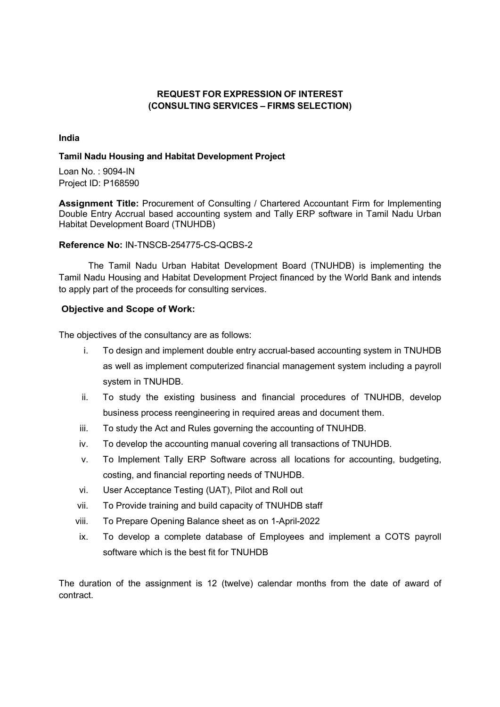# REQUEST FOR EXPRESSION OF INTEREST (CONSULTING SERVICES – FIRMS SELECTION)

#### India

#### Tamil Nadu Housing and Habitat Development Project

Loan No. : 9094-IN Project ID: P168590

Assignment Title: Procurement of Consulting / Chartered Accountant Firm for Implementing Double Entry Accrual based accounting system and Tally ERP software in Tamil Nadu Urban Habitat Development Board (TNUHDB)

# Reference No: IN-TNSCB-254775-CS-QCBS-2

The Tamil Nadu Urban Habitat Development Board (TNUHDB) is implementing the Tamil Nadu Housing and Habitat Development Project financed by the World Bank and intends to apply part of the proceeds for consulting services.

# Objective and Scope of Work:

The objectives of the consultancy are as follows:

- i. To design and implement double entry accrual-based accounting system in TNUHDB as well as implement computerized financial management system including a payroll system in TNUHDB.
- ii. To study the existing business and financial procedures of TNUHDB, develop business process reengineering in required areas and document them.
- iii. To study the Act and Rules governing the accounting of TNUHDB.
- iv. To develop the accounting manual covering all transactions of TNUHDB.
- v. To Implement Tally ERP Software across all locations for accounting, budgeting, costing, and financial reporting needs of TNUHDB.
- vi. User Acceptance Testing (UAT), Pilot and Roll out
- vii. To Provide training and build capacity of TNUHDB staff
- viii. To Prepare Opening Balance sheet as on 1-April-2022
- ix. To develop a complete database of Employees and implement a COTS payroll software which is the best fit for TNUHDB

The duration of the assignment is 12 (twelve) calendar months from the date of award of contract.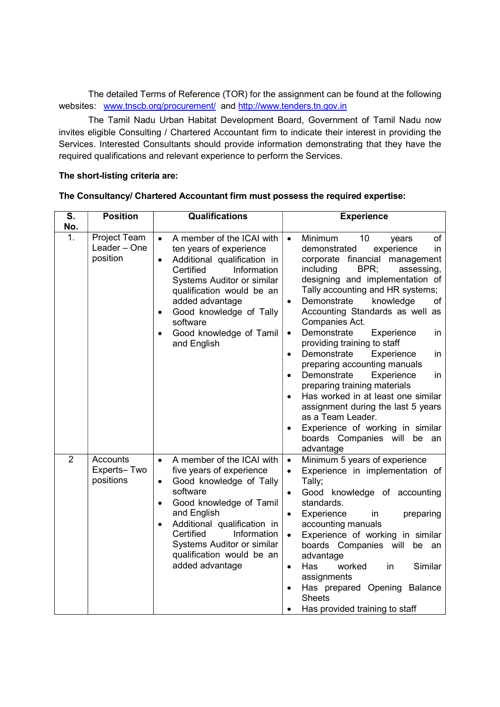The detailed Terms of Reference (TOR) for the assignment can be found at the following websites: www.tnscb.org/procurement/ and http://www.tenders.tn.gov.in

The Tamil Nadu Urban Habitat Development Board, Government of Tamil Nadu now invites eligible Consulting / Chartered Accountant firm to indicate their interest in providing the Services. Interested Consultants should provide information demonstrating that they have the required qualifications and relevant experience to perform the Services.

# The short-listing criteria are:

|                | <b>Position</b>                          | Qualifications                                                                                                                                                                                                                                                                                                                             |                                                                                                                                                                                                                                                                                                                                                                                                                                                                                                                                                                                                                                                                                                                                                                             |
|----------------|------------------------------------------|--------------------------------------------------------------------------------------------------------------------------------------------------------------------------------------------------------------------------------------------------------------------------------------------------------------------------------------------|-----------------------------------------------------------------------------------------------------------------------------------------------------------------------------------------------------------------------------------------------------------------------------------------------------------------------------------------------------------------------------------------------------------------------------------------------------------------------------------------------------------------------------------------------------------------------------------------------------------------------------------------------------------------------------------------------------------------------------------------------------------------------------|
| S.<br>No.      |                                          |                                                                                                                                                                                                                                                                                                                                            | <b>Experience</b>                                                                                                                                                                                                                                                                                                                                                                                                                                                                                                                                                                                                                                                                                                                                                           |
| 1.             | Project Team<br>Leader - One<br>position | A member of the ICAI with<br>$\bullet$<br>ten years of experience<br>Additional qualification in<br>$\bullet$<br>Certified<br>Information<br>Systems Auditor or similar<br>qualification would be an<br>added advantage<br>Good knowledge of Tally<br>$\bullet$<br>software<br>Good knowledge of Tamil<br>$\bullet$<br>and English         | Minimum<br>of<br>10<br>$\bullet$<br>years<br>experience<br>demonstrated<br>in<br>financial<br>corporate<br>management<br>including<br>BPR;<br>assessing,<br>designing and implementation of<br>Tally accounting and HR systems;<br>Demonstrate<br>knowledge<br>of<br>$\bullet$<br>Accounting Standards as well<br>as<br>Companies Act.<br>Demonstrate<br>Experience<br>in.<br>$\bullet$<br>providing training to staff<br>Demonstrate<br>Experience<br>in<br>$\bullet$<br>preparing accounting manuals<br>Experience<br>Demonstrate<br>in.<br>$\bullet$<br>preparing training materials<br>Has worked in at least one similar<br>assignment during the last 5 years<br>as a Team Leader.<br>Experience of working in similar<br>boards Companies will be<br>an<br>advantage |
| $\overline{2}$ | Accounts<br>Experts-Two<br>positions     | A member of the ICAI with<br>$\bullet$<br>five years of experience<br>Good knowledge of Tally<br>$\bullet$<br>software<br>Good knowledge of Tamil<br>$\bullet$<br>and English<br>Additional qualification in<br>$\bullet$<br>Certified<br>Information<br><b>Systems Auditor or similar</b><br>qualification would be an<br>added advantage | Minimum 5 years of experience<br>$\bullet$<br>Experience in implementation of<br>$\bullet$<br>Tally;<br>Good knowledge of accounting<br>$\bullet$<br>standards.<br>Experience<br>in<br>preparing<br>$\bullet$<br>accounting manuals<br>Experience of working in similar<br>$\bullet$<br>boards Companies will<br>be<br>an<br>advantage<br>Has<br>worked<br>Similar<br>in<br>$\bullet$<br>assignments<br>Has prepared Opening Balance<br>$\bullet$<br><b>Sheets</b><br>Has provided training to staff                                                                                                                                                                                                                                                                        |

#### The Consultancy/ Chartered Accountant firm must possess the required expertise: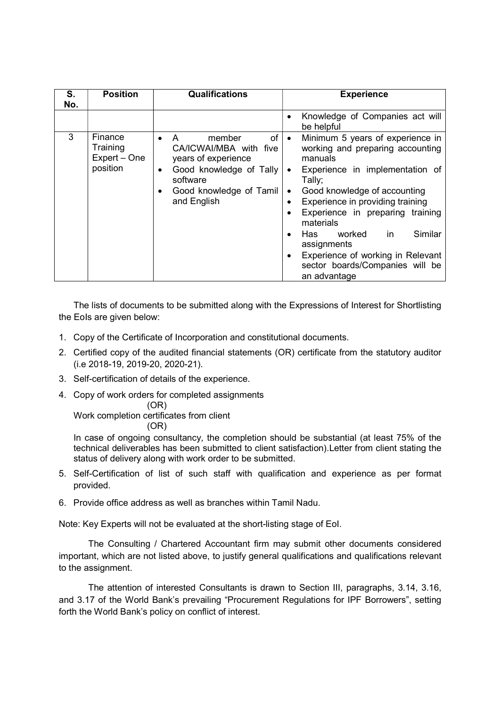| S.<br>No. | <b>Position</b>                                 | Qualifications                                                                                                                                                                | <b>Experience</b>                                                                                                                                                                                                                                                                                                                                                                                 |
|-----------|-------------------------------------------------|-------------------------------------------------------------------------------------------------------------------------------------------------------------------------------|---------------------------------------------------------------------------------------------------------------------------------------------------------------------------------------------------------------------------------------------------------------------------------------------------------------------------------------------------------------------------------------------------|
|           |                                                 |                                                                                                                                                                               | Knowledge of Companies act will<br>$\bullet$<br>be helpful                                                                                                                                                                                                                                                                                                                                        |
| 3         | Finance<br>Training<br>Expert – One<br>position | of<br>member<br>A<br>$\bullet$<br>CA/ICWAI/MBA with five<br>years of experience<br>Good knowledge of Tally<br>$\bullet$<br>software<br>Good knowledge of Tamil<br>and English | Minimum 5 years of experience in<br>working and preparing accounting<br>manuals<br>Experience in implementation of<br>$\bullet$<br>Tally;<br>Good knowledge of accounting<br>$\bullet$<br>Experience in providing training<br>٠<br>Experience in preparing training<br>materials<br>Similar<br>Has<br>worked<br>in.<br>$\bullet$<br>assignments<br>Experience of working in Relevant<br>$\bullet$ |
|           |                                                 |                                                                                                                                                                               | sector boards/Companies will be<br>an advantage                                                                                                                                                                                                                                                                                                                                                   |

The lists of documents to be submitted along with the Expressions of Interest for Shortlisting the EoIs are given below:

- 1. Copy of the Certificate of Incorporation and constitutional documents.
- 2. Certified copy of the audited financial statements (OR) certificate from the statutory auditor (i.e 2018-19, 2019-20, 2020-21).
- 3. Self-certification of details of the experience.
- 4. Copy of work orders for completed assignments

(OR) Work completion certificates from client (OR)

In case of ongoing consultancy, the completion should be substantial (at least 75% of the technical deliverables has been submitted to client satisfaction).Letter from client stating the status of delivery along with work order to be submitted.

- 5. Self-Certification of list of such staff with qualification and experience as per format provided.
- 6. Provide office address as well as branches within Tamil Nadu.

Note: Key Experts will not be evaluated at the short-listing stage of EoI.

The Consulting / Chartered Accountant firm may submit other documents considered important, which are not listed above, to justify general qualifications and qualifications relevant to the assignment.

The attention of interested Consultants is drawn to Section III, paragraphs, 3.14, 3.16, and 3.17 of the World Bank's prevailing "Procurement Regulations for IPF Borrowers", setting forth the World Bank's policy on conflict of interest.